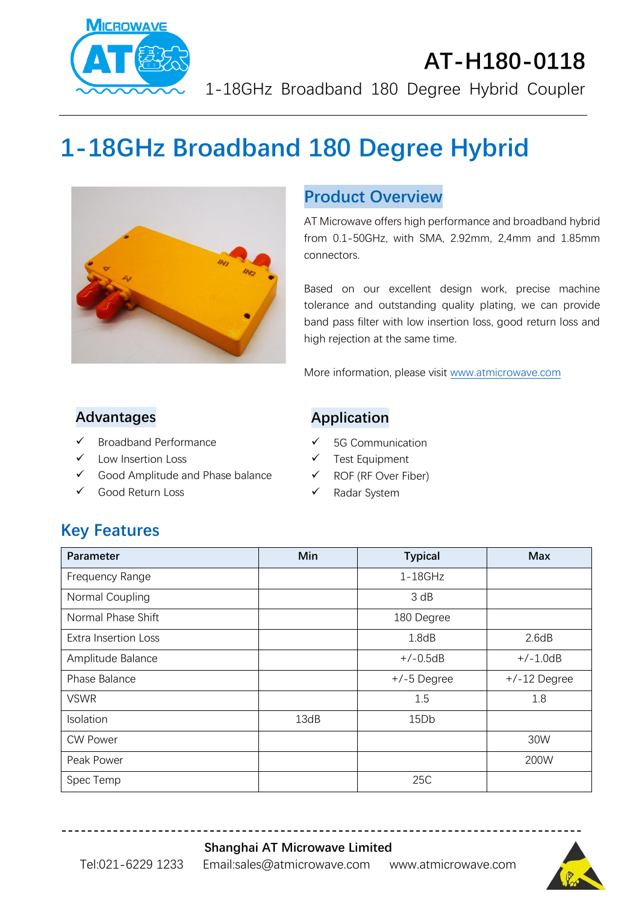

## **AT-H180-0118** 1-18GHz Broadband 180 Degree Hybrid Coupler

# **1-18GHz Broadband 180 Degree Hybrid**



### **Product Overview**

AT Microwave offers high performance and broadband hybrid from 0.1-50GHz, with SMA, 2.92mm, 2,4mm and 1.85mm connectors.

Based on our excellent design work, precise machine tolerance and outstanding quality plating, we can provide band pass filter with low insertion loss, good return loss and high rejection at the same time.

More information, please visit [www.atmicrowave.com](http://www.atmicrowave.com/)

#### **Advantages**

- ✓ Broadband Performance
- Low Insertion Loss
- ✓ Good Amplitude and Phase balance
- ✓ Good Return Loss

#### **Application**

- ✓ 5G Communication
- ✓ Test Equipment
- ✓ ROF (RF Over Fiber)
- ✓ Radar System

## **Key Features**

| <b>Parameter</b>            | Min  | <b>Typical</b> | <b>Max</b>     |
|-----------------------------|------|----------------|----------------|
| Frequency Range             |      | $1-18$ GHz     |                |
| Normal Coupling             |      | 3 dB           |                |
| Normal Phase Shift          |      | 180 Degree     |                |
| <b>Extra Insertion Loss</b> |      | 1.8dB          | 2.6dB          |
| Amplitude Balance           |      | $+/-0.5dB$     | $+/-1.0dB$     |
| Phase Balance               |      | $+/-5$ Degree  | $+/-12$ Degree |
| <b>VSWR</b>                 |      | 1.5            | 1.8            |
| Isolation                   | 13dB | 15Db           |                |
| <b>CW Power</b>             |      |                | 30W            |
| Peak Power                  |      |                | 200W           |
| Spec Temp                   |      | 25C            |                |

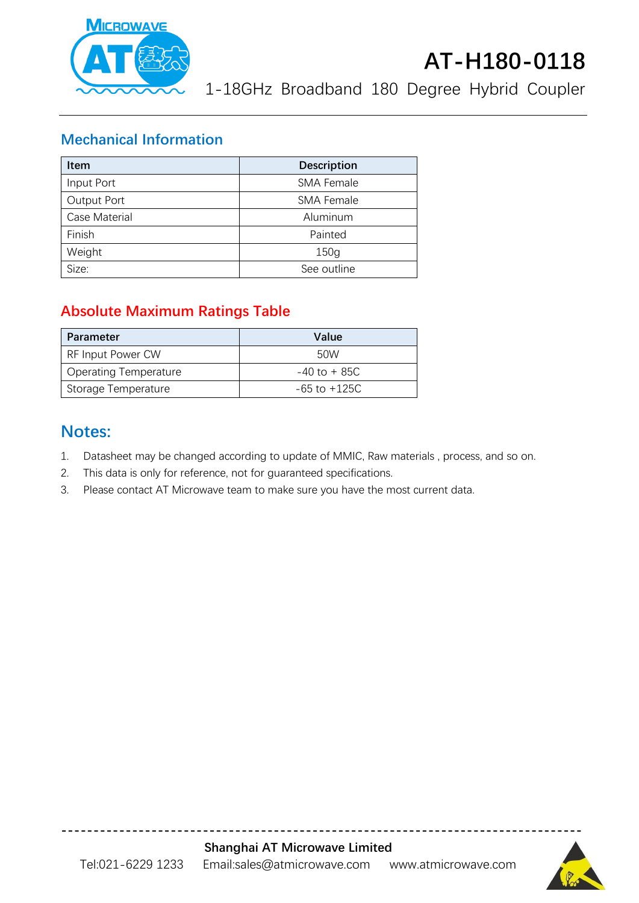

## **AT-H180-0118**

1-18GHz Broadband 180 Degree Hybrid Coupler

#### **Mechanical Information**

| <b>Item</b>   | <b>Description</b> |  |
|---------------|--------------------|--|
| Input Port    | <b>SMA Female</b>  |  |
| Output Port   | <b>SMA Female</b>  |  |
| Case Material | Aluminum           |  |
| Finish        | Painted            |  |
| Weight        | 150g               |  |
| Size:         | See outline        |  |

### **Absolute Maximum Ratings Table**

| Parameter                    | Value            |
|------------------------------|------------------|
| RF Input Power CW            | 50W              |
| <b>Operating Temperature</b> | $-40$ to $+85C$  |
| Storage Temperature          | $-65$ to $+125C$ |

### **Notes:**

- 1. Datasheet may be changed according to update of MMIC, Raw materials , process, and so on.
- 2. This data is only for reference, not for guaranteed specifications.
- 3. Please contact AT Microwave team to make sure you have the most current data.



**---------------------------------------------------------------------------------**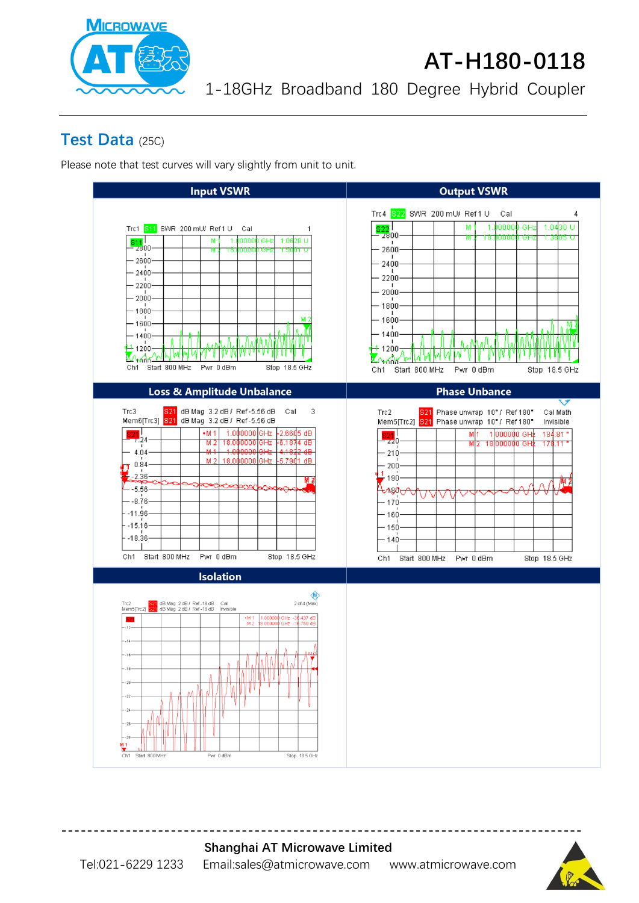

## **AT-H180-0118**

1-18GHz Broadband 180 Degree Hybrid Coupler

### **Test Data** (25C)

Please note that test curves will vary slightly from unit to unit.